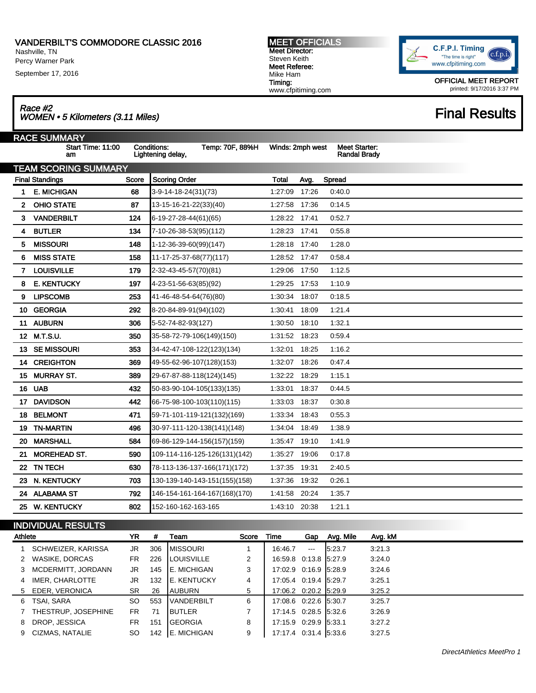Nashville, TN Percy Warner Park

September 17, 2016

MEET OFFICIALS Meet Director: Steven Keith Meet Referee: Mike Ham Timing: www.cfpitiming.com



OFFICIAL MEET REPORT printed: 9/17/2016 3:37 PM

## Race #2<br>WOMEN • 5 Kilometers (3.11 Miles) Final Results

|    | <b>RACE SUMMARY</b>         |       |                                                            |                  |       |                                             |  |
|----|-----------------------------|-------|------------------------------------------------------------|------------------|-------|---------------------------------------------|--|
|    | Start Time: 11:00<br>am     |       | <b>Conditions:</b><br>Temp: 70F, 88%H<br>Lightening delay, | Winds: 2mph west |       | <b>Meet Starter:</b><br><b>Randal Brady</b> |  |
|    | <b>TEAM SCORING SUMMARY</b> |       |                                                            |                  |       |                                             |  |
|    | <b>Final Standings</b>      | Score | <b>Scoring Order</b>                                       | <b>Total</b>     | Avg.  | Spread                                      |  |
| 1  | <b>E. MICHIGAN</b>          | 68    | 3-9-14-18-24(31)(73)                                       | 1:27:09          | 17:26 | 0.40.0                                      |  |
| 2  | <b>OHIO STATE</b>           | 87    | 13-15-16-21-22(33)(40)                                     | 1:27:58          | 17:36 | 0.14.5                                      |  |
| 3  | <b>VANDERBILT</b>           | 124   | 6-19-27-28-44(61)(65)                                      | 1:28:22 17:41    |       | 0.52.7                                      |  |
| 4  | <b>BUTLER</b>               | 134   | 7-10-26-38-53(95)(112)                                     | 1:28:23          | 17:41 | 0.55.8                                      |  |
| 5  | <b>MISSOURI</b>             | 148   | 1-12-36-39-60(99)(147)                                     | 1:28:18          | 17:40 | 1:28.0                                      |  |
| 6  | <b>MISS STATE</b>           | 158   | 11-17-25-37-68(77)(117)                                    | 1:28:52          | 17:47 | 0:58.4                                      |  |
| 7  | <b>LOUISVILLE</b>           | 179   | 2-32-43-45-57(70)(81)                                      | 1:29:06          | 17:50 | 1:12.5                                      |  |
| 8  | <b>E. KENTUCKY</b>          | 197   | 4-23-51-56-63(85)(92)                                      | 1.29:25          | 17:53 | 1:10.9                                      |  |
| 9  | <b>LIPSCOMB</b>             | 253   | 41-46-48-54-64(76)(80)                                     | 1:30:34          | 18:07 | 0:18.5                                      |  |
| 10 | <b>GEORGIA</b>              | 292   | 8-20-84-89-91(94)(102)                                     | 1:30:41          | 18:09 | 1:21.4                                      |  |
| 11 | <b>AUBURN</b>               | 306   | 5-52-74-82-93(127)                                         | 1:30:50          | 18:10 | 1:32.1                                      |  |
|    | 12 M.T.S.U.                 | 350   | 35-58-72-79-106(149)(150)                                  | 1:31:52          | 18:23 | 0:59.4                                      |  |
| 13 | <b>SE MISSOURI</b>          | 353   | 34-42-47-108-122(123)(134)                                 | 1:32:01          | 18:25 | 1:16.2                                      |  |
| 14 | <b>CREIGHTON</b>            | 369   | 49-55-62-96-107(128)(153)                                  | 1:32:07          | 18:26 | 0.47.4                                      |  |
| 15 | <b>MURRAY ST.</b>           | 389   | 29-67-87-88-118(124)(145)                                  | 1:32:22          | 18:29 | 1:15.1                                      |  |
| 16 | <b>UAB</b>                  | 432   | 50-83-90-104-105(133)(135)                                 | 1:33:01          | 18:37 | 0:44.5                                      |  |
| 17 | <b>DAVIDSON</b>             | 442   | 66-75-98-100-103(110)(115)                                 | 1:33:03          | 18:37 | 0.30.8                                      |  |
| 18 | <b>BELMONT</b>              | 471   | 59-71-101-119-121(132)(169)                                | 1:33:34          | 18:43 | 0:55.3                                      |  |
| 19 | <b>TN-MARTIN</b>            | 496   | 30-97-111-120-138(141)(148)                                | 1:34:04          | 18:49 | 1:38.9                                      |  |
| 20 | <b>MARSHALL</b>             | 584   | 69-86-129-144-156(157)(159)                                | 1:35:47          | 19:10 | 1:41.9                                      |  |
| 21 | <b>MOREHEAD ST.</b>         | 590   | 109-114-116-125-126(131)(142)                              | 1:35:27          | 19:06 | 0.17.8                                      |  |
|    | 22 TN TECH                  | 630   | 78-113-136-137-166(171)(172)                               | 1:37:35          | 19:31 | 2:40.5                                      |  |
| 23 | N. KENTUCKY                 | 703   | 130-139-140-143-151(155)(158)                              | 1:37:36          | 19:32 | 0:26.1                                      |  |
|    | 24 ALABAMA ST               | 792   | 146-154-161-164-167(168)(170)                              | 1:41:58          | 20:24 | 1:35.7                                      |  |
|    | 25 W. KENTUCKY              | 802   | 152-160-162-163-165                                        | 1:43:10 20:38    |       | 1:21.1                                      |  |
|    |                             |       |                                                            |                  |       |                                             |  |

## INDIVIDUAL RESULTS

| Athlete |                      | YR        | #   | Team                | Score | Time                  | Gap      | Avg. Mile | Avg. kM |
|---------|----------------------|-----------|-----|---------------------|-------|-----------------------|----------|-----------|---------|
|         | SCHWEIZER, KARISSA   | JR.       | 306 | <b>IMISSOURI</b>    |       | 16:46.7               | $\cdots$ | 5:23.7    | 3:21.3  |
|         | 2 WASIKE, DORCAS     | <b>FR</b> | 226 | <b>ILOUISVILLE</b>  | 2     | 16:59.8 0.13.8 5:27.9 |          |           | 3:24.0  |
|         | 3 MCDERMITT, JORDANN | JR.       | 145 | <b>E. MICHIGAN</b>  | 3     | 17:02.9 0:16.9 5:28.9 |          |           | 3:24.6  |
| 4       | IMER, CHARLOTTE      | JR        | 132 | IE. KENTUCKY        | 4     | 17:05.4 0:19.4 5:29.7 |          |           | 3:25.1  |
|         | 5 EDER, VERONICA     | SR        | 26  | <b>AUBURN</b>       | 5     | 17:06.2 0:20.2 5:29.9 |          |           | 3:25.2  |
| 6       | TSAI, SARA           | SO        | 553 | <b>IVANDERBILT</b>  | 6     | 17:08.6 0:22.6 5:30.7 |          |           | 3:25.7  |
|         | THESTRUP, JOSEPHINE  | FR.       | 71  | IBUTLER             | 7     | 17:14.5 0.28.5 5:32.6 |          |           | 3:26.9  |
| 8       | DROP, JESSICA        | FR.       | 151 | <b>GEORGIA</b>      | 8     | 17:15.9 0:29.9 5:33.1 |          |           | 3:27.2  |
|         | 9 CIZMAS, NATALIE    | <b>SO</b> | 142 | <b>IE. MICHIGAN</b> | 9     | 17:17.4 0:31.4 5:33.6 |          |           | 3:27.5  |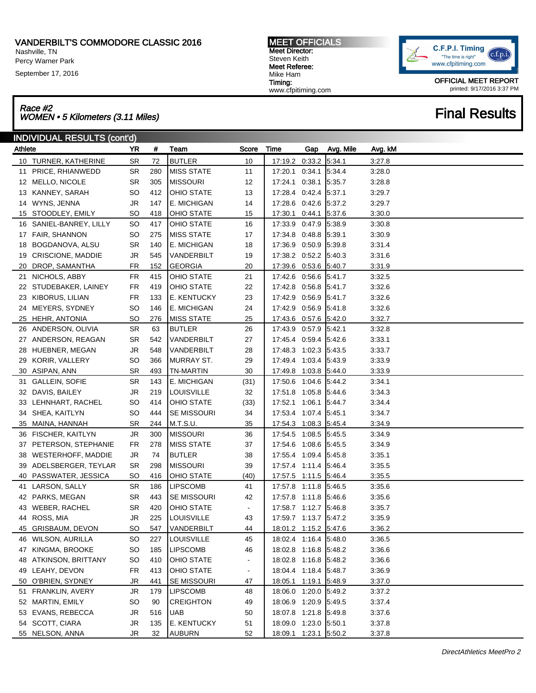Nashville, TN

Percy Warner Park

September 17, 2016

Race #2 Race #2<br>WOMEN • 5 Kilometers (3.11 Miles) Final Results

| <b>MEET OFFICIALS</b> |
|-----------------------|
| Meet Director:        |
| Steven Keith          |
| Meet Referee:         |
| Mike Ham              |
| Timing:               |
| www.cfpitiming.com    |



OFFICIAL MEET REPORT printed: 9/17/2016 3:37 PM

## INDIVIDUAL RESULTS (cont'd) Athlete YR # Team Score Time Gap Avg. Mile Avg. kM TURNER, KATHERINE SR 72 BUTLER 10 17:19.2 0:33.2 5:34.1 3:27.8 PRICE, RHIANWEDD SR 280 MISS STATE 11 17:20.1 0:34.1 5:34.4 3:28.0 MELLO, NICOLE SR 305 MISSOURI 12 17:24.1 0:38.1 5:35.7 3:28.8 KANNEY, SARAH SO 412 OHIO STATE 13 17:28.4 0:42.4 5:37.1 3:29.7 WYNS, JENNA JR 147 E. MICHIGAN 14 17:28.6 0:42.6 5:37.2 3:29.7 STOODLEY, EMILY SO 418 OHIO STATE 15 17:30.1 0:44.1 5:37.6 3:30.0 SANIEL-BANREY, LILLY SO 417 OHIO STATE 16 17:33.9 0:47.9 5:38.9 3:30.8 FAIR, SHANNON SO 275 MISS STATE 17 17:34.8 0:48.8 5:39.1 3:30.9 BOGDANOVA, ALSU SR 140 E. MICHIGAN 18 17:36.9 0:50.9 5:39.8 3:31.4 CRISCIONE, MADDIE JR 545 VANDERBILT 19 17:38.2 0:52.2 5:40.3 3:31.6 DROP, SAMANTHA FR 152 GEORGIA 20 17:39.6 0:53.6 5:40.7 3:31.9 NICHOLS, ABBY FR 415 OHIO STATE 21 17:42.6 0:56.6 5:41.7 3:32.5 STUDEBAKER, LAINEY FR 419 OHIO STATE 22 17:42.8 0:56.8 5:41.7 3:32.6 KIBORUS, LILIAN FR 133 E. KENTUCKY 23 17:42.9 0:56.9 5:41.7 3:32.6 MEYERS, SYDNEY SO 146 E. MICHIGAN 24 17:42.9 0:56.9 5:41.8 3:32.6 HEHR, ANTONIA SO 276 MISS STATE 25 17:43.6 0:57.6 5:42.0 3:32.7 ANDERSON, OLIVIA SR 63 BUTLER 26 17:43.9 0:57.9 5:42.1 3:32.8 27 ANDERSON, REAGAN SR 542 VANDERBILT 27 17:45.4 0:59.4 5:42.6 3:33.1 HUEBNER, MEGAN JR 548 VANDERBILT 28 17:48.3 1:02.3 5:43.5 3:33.7 KORIR, VALLERY SO 366 MURRAY ST. 29 17:49.4 1:03.4 5:43.9 3:33.9 ASIPAN, ANN SR 493 TN-MARTIN 30 17:49.8 1:03.8 5:44.0 3:33.9 GALLEIN, SOFIE SR 143 E. MICHIGAN (31) 17:50.6 1:04.6 5:44.2 3:34.1 DAVIS, BAILEY JR 219 LOUISVILLE 32 17:51.8 1:05.8 5:44.6 3:34.3 LEHNHART, RACHEL SO 414 OHIO STATE (33) 17:52.1 1:06.1 5:44.7 3:34.4 SHEA, KAITLYN SO 444 SE MISSOURI 34 17:53.4 1:07.4 5:45.1 3:34.7 MAINA, HANNAH SR 244 M.T.S.U. 35 17:54.3 1:08.3 5:45.4 3:34.9 FISCHER, KAITLYN JR 300 MISSOURI 36 17:54.5 1:08.5 5:45.5 3:34.9 37 PETERSON, STEPHANIE FR 278 MISS STATE 37 17:54.6 1:08.6 5:45.5 3:34.9 WESTERHOFF, MADDIE JR 74 BUTLER 38 17:55.4 1:09.4 5:45.8 3:35.1 ADELSBERGER, TEYLAR SR 298 MISSOURI 39 17:57.4 1:11.4 5:46.4 3:35.5 PASSWATER, JESSICA SO 416 OHIO STATE (40) 17:57.5 1:11.5 5:46.4 3:35.5 LARSON, SALLY SR 186 LIPSCOMB 41 17:57.8 1:11.8 5:46.5 3:35.6 PARKS, MEGAN SR 443 SE MISSOURI 42 17:57.8 1:11.8 5:46.6 3:35.6 WEBER, RACHEL SR 420 OHIO STATE - 17:58.7 1:12.7 5:46.8 3:35.7 ROSS, MIA JR 225 LOUISVILLE 43 17:59.7 1:13.7 5:47.2 3:35.9 GRISBAUM, DEVON SO 547 VANDERBILT 44 18:01.2 1:15.2 5:47.6 3:36.2 WILSON, AURILLA SO 227 LOUISVILLE 45 18:02.4 1:16.4 5:48.0 3:36.5 KINGMA, BROOKE SO 185 LIPSCOMB 46 18:02.8 1:16.8 5:48.2 3:36.6 ATKINSON, BRITTANY SO 410 OHIO STATE - 18:02.8 1:16.8 5:48.2 3:36.6 49 LEAHY, DEVON FR 413 OHIO STATE - 18:04.4 1:18.4 5:48.7 3:36.9 O'BRIEN, SYDNEY JR 441 SE MISSOURI 47 18:05.1 1:19.1 5:48.9 3:37.0 FRANKLIN, AVERY JR 179 LIPSCOMB 48 18:06.0 1:20.0 5:49.2 3:37.2 MARTIN, EMILY SO 90 CREIGHTON 49 18:06.9 1:20.9 5:49.5 3:37.4 53 EVANS, REBECCA JR 516 UAB 50 18:07.8 1:21.8 5:49.8 3:37.6 SCOTT, CIARA JR 135 E. KENTUCKY 51 18:09.0 1:23.0 5:50.1 3:37.8 NELSON, ANNA JR 32 AUBURN 52 18:09.1 1:23.1 5:50.2 3:37.8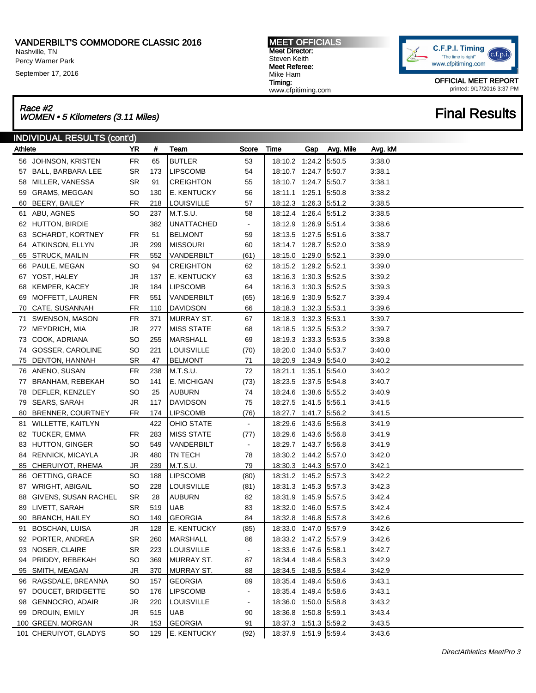Nashville, TN Percy Warner Park

September 17, 2016

MEET OFFICIALS Meet Director: Steven Keith Meet Referee: Mike Ham Timing: www.cfpitiming.com

C.F.P.I. Timing  $c.f.p.i$ "The time is right" www.cfpitiming.com

> OFFICIAL MEET REPORT printed: 9/17/2016 3:37 PM

# Race #2<br>WOMEN • 5 Kilometers (3.11 Miles) Final Results

|         | <b>INDIVIDUAL RESULTS (cont'd)</b> |           |     |                   |                |                       |     |           |         |  |
|---------|------------------------------------|-----------|-----|-------------------|----------------|-----------------------|-----|-----------|---------|--|
| Athlete |                                    | <b>YR</b> | #   | Team              | Score          | Time                  | Gap | Avg. Mile | Avg. kM |  |
|         | 56 JOHNSON, KRISTEN                | FR        | 65  | <b>BUTLER</b>     | 53             | 18:10.2 1:24.2        |     | 5:50.5    | 3:38.0  |  |
|         | 57 BALL, BARBARA LEE               | SR        | 173 | <b>LIPSCOMB</b>   | 54             | 18:10.7 1:24.7 5:50.7 |     |           | 3:38.1  |  |
| 58      | MILLER, VANESSA                    | SR        | 91  | <b>CREIGHTON</b>  | 55             | 18:10.7 1:24.7 5:50.7 |     |           | 3:38.1  |  |
| 59      | GRAMS, MEGGAN                      | SO        | 130 | E. KENTUCKY       | 56             | 18:11.1 1:25.1        |     | 5:50.8    | 3:38.2  |  |
| 60      | BEERY, BAILEY                      | FR        | 218 | <b>LOUISVILLE</b> | 57             | 18:12.3 1:26.3 5:51.2 |     |           | 3:38.5  |  |
|         | 61 ABU, AGNES                      | SO        | 237 | M.T.S.U.          | 58             | 18:12.4 1:26.4        |     | 5:51.2    | 3:38.5  |  |
|         | 62 HUTTON, BIRDIE                  |           | 382 | UNATTACHED        | $\blacksquare$ | 18:12.9 1:26.9        |     | 5:51.4    | 3:38.6  |  |
| 63      | <b>SCHARDT, KORTNEY</b>            | FR        | 51  | <b>BELMONT</b>    | 59             | 18:13.5 1:27.5        |     | 5:51.6    | 3:38.7  |  |
|         | 64 ATKINSON, ELLYN                 | JR        | 299 | <b>MISSOURI</b>   | 60             | 18:14.7 1:28.7        |     | 5:52.0    | 3:38.9  |  |
|         | 65 STRUCK, MAILIN                  | FR        | 552 | VANDERBILT        | (61)           | 18:15.0 1:29.0 5:52.1 |     |           | 3:39.0  |  |
|         | 66 PAULE, MEGAN                    | <b>SO</b> | 94  | <b>CREIGHTON</b>  | 62             | 18:15.2 1:29.2 5:52.1 |     |           | 3:39.0  |  |
|         | 67 YOST, HALEY                     | JR        | 137 | E. KENTUCKY       | 63             | 18:16.3 1:30.3 5:52.5 |     |           | 3:39.2  |  |
| 68      | <b>KEMPER, KACEY</b>               | <b>JR</b> | 184 | <b>LIPSCOMB</b>   | 64             | 18:16.3 1:30.3        |     | 5.52.5    | 3:39.3  |  |
| 69      | MOFFETT, LAUREN                    | FR        | 551 | VANDERBILT        | (65)           | 18:16.9 1:30.9        |     | 5:52.7    | 3:39.4  |  |
| 70      | CATE, SUSANNAH                     | FR        | 110 | <b>DAVIDSON</b>   | 66             | 18:18.3 1:32.3        |     | 5:53.1    | 3:39.6  |  |
|         | 71 SWENSON, MASON                  | <b>FR</b> | 371 | MURRAY ST.        | 67             | 18:18.3 1:32.3        |     | 5:53.1    | 3:39.7  |  |
|         | 72 MEYDRICH, MIA                   | JR        | 277 | <b>MISS STATE</b> | 68             | 18:18.5 1:32.5        |     | 5:53.2    | 3:39.7  |  |
| 73      | COOK, ADRIANA                      | <b>SO</b> | 255 | <b>MARSHALL</b>   | 69             | 18:19.3 1:33.3        |     | 5:53.5    | 3:39.8  |  |
|         | 74 GOSSER, CAROLINE                | SO        | 221 | <b>LOUISVILLE</b> | (70)           | 18:20.0 1:34.0        |     | 5:53.7    | 3:40.0  |  |
| 75      | DENTON, HANNAH                     | SR        | 47  | <b>BELMONT</b>    | 71             | 18:20.9 1:34.9        |     | 5:54.0    | 3:40.2  |  |
|         | 76 ANENO, SUSAN                    | <b>FR</b> | 238 | M.T.S.U.          | 72             | 18:21.1 1:35.1        |     | 5:54.0    | 3:40.2  |  |
| 77      | <b>BRANHAM, REBEKAH</b>            | SO        | 141 | E. MICHIGAN       | (73)           | 18:23.5 1:37.5        |     | 5.54.8    | 3:40.7  |  |
| 78      | DEFLER, KENZLEY                    | SO        | 25  | AUBURN            | 74             | 18:24.6 1:38.6        |     | 5.55.2    | 3:40.9  |  |
|         | 79 SEARS, SARAH                    | JR        | 117 | <b>DAVIDSON</b>   | 75             | 18:27.5 1:41.5        |     | 5:56.1    | 3:41.5  |  |
| 80      | BRENNER, COURTNEY                  | FR        | 174 | <b>LIPSCOMB</b>   | (76)           | 18:27.7 1:41.7        |     | 5:56.2    | 3:41.5  |  |
|         | 81 WILLETTE, KAITLYN               |           | 422 | <b>OHIO STATE</b> | $\blacksquare$ | 18:29.6 1:43.6        |     | 5.56.8    | 3:41.9  |  |
| 82      | TUCKER, EMMA                       | FR        | 283 | <b>MISS STATE</b> | (77)           | 18:29.6 1:43.6        |     | 5.56.8    | 3:41.9  |  |
| 83      | HUTTON, GINGER                     | SO        | 549 | VANDERBILT        | $\blacksquare$ | 18:29.7 1:43.7        |     | 5:56.8    | 3:41.9  |  |
| 84      | RENNICK, MICAYLA                   | <b>JR</b> | 480 | TN TECH           | 78             | 18:30.2 1:44.2        |     | 5:57.0    | 3:42.0  |  |
|         | 85 CHERUIYOT, RHEMA                | JR        | 239 | M.T.S.U.          | 79             | 18:30.3 1:44.3 5:57.0 |     |           | 3:42.1  |  |
|         | 86 OETTING, GRACE                  | <b>SO</b> | 188 | <b>LIPSCOMB</b>   | (80)           | 18:31.2 1:45.2 5:57.3 |     |           | 3:42.2  |  |
|         | 87 WRIGHT, ABIGAIL                 | SO        | 228 | LOUISVILLE        | (81)           | 18:31.3 1:45.3 5:57.3 |     |           | 3:42.3  |  |
| 88      | GIVENS, SUSAN RACHEL               | SR        | 28  | <b>AUBURN</b>     | 82             | 18:31.9 1:45.9        |     | 5.57.5    | 3:42.4  |  |
| 89      | LIVETT, SARAH                      | <b>SR</b> | 519 | <b>UAB</b>        | 83             | 18:32.0 1:46.0        |     | 5.57.5    | 3:42.4  |  |
|         | 90 BRANCH, HAILEY                  | SO        | 149 | <b>GEORGIA</b>    | 84             | 18:32.8 1:46.8 5:57.8 |     |           | 3:42.6  |  |
|         | 91 BOSCHAN, LUISA                  | JR        | 128 | E. KENTUCKY       | (85)           | 18:33.0 1:47.0 5:57.9 |     |           | 3:42.6  |  |
| 92      | PORTER, ANDREA                     | SR        | 260 | <b>MARSHALL</b>   | 86             | 18:33.2 1:47.2 5:57.9 |     |           | 3:42.6  |  |
| 93      | NOSER, CLAIRE                      | <b>SR</b> | 223 | <b>LOUISVILLE</b> | $\blacksquare$ | 18:33.6 1:47.6 5:58.1 |     |           | 3:42.7  |  |
| 94      | PRIDDY, REBEKAH                    | SO        | 369 | MURRAY ST.        | 87             | 18:34.4 1:48.4 5:58.3 |     |           | 3:42.9  |  |
| 95      | SMITH, MEAGAN                      | JR.       | 370 | <b>MURRAY ST.</b> | 88             | 18:34.5 1:48.5 5:58.4 |     |           | 3:42.9  |  |
|         | 96 RAGSDALE, BREANNA               | SO        | 157 | <b>GEORGIA</b>    | 89             | 18:35.4 1:49.4 5:58.6 |     |           | 3:43.1  |  |
| 97      | DOUCET, BRIDGETTE                  | SO        | 176 | <b>LIPSCOMB</b>   | $\blacksquare$ | 18:35.4 1:49.4 5:58.6 |     |           | 3:43.1  |  |
| 98      | GENNOCRO, ADAIR                    | JR.       | 220 | <b>LOUISVILLE</b> | $\blacksquare$ | 18:36.0 1:50.0        |     | 5:58.8    | 3:43.2  |  |
| 99      | DROUIN, EMILY                      | JR.       | 515 | <b>UAB</b>        | 90             | 18:36.8 1:50.8        |     | 5:59.1    | 3:43.4  |  |
|         | 100 GREEN, MORGAN                  | JR        | 153 | <b>GEORGIA</b>    | 91             | 18:37.3 1:51.3 5:59.2 |     |           | 3:43.5  |  |
|         | 101 CHERUIYOT, GLADYS              | SO        | 129 | E. KENTUCKY       | (92)           | 18:37.9 1:51.9 5:59.4 |     |           | 3:43.6  |  |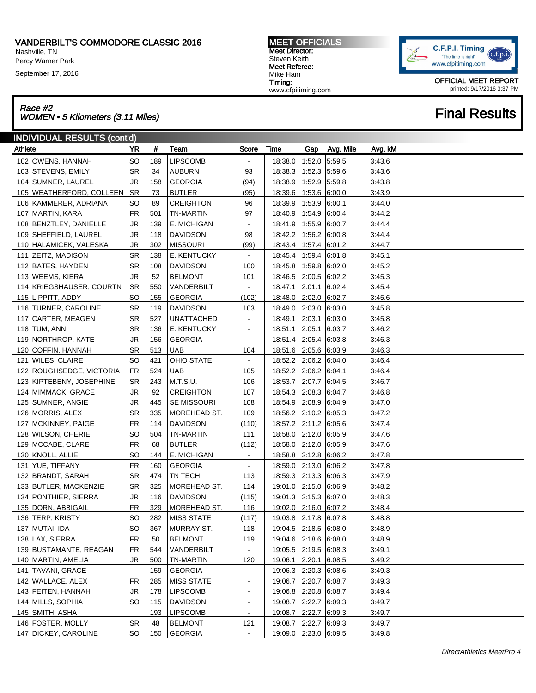Nashville, TN Percy Warner Park

September 17, 2016

### MEET OFFICIALS Meet Director: Steven Keith Meet Referee: Mike Ham Timing: www.cfpitiming.com



OFFICIAL MEET REPORT printed: 9/17/2016 3:37 PM

## Race #2<br>WOMEN • 5 Kilometers (3.11 Miles) Final Results

| <b>INDIVIDUAL RESULTS (cont'd)</b> |           |     |                    |                              |                       |     |           |         |  |
|------------------------------------|-----------|-----|--------------------|------------------------------|-----------------------|-----|-----------|---------|--|
| Athlete                            | <b>YR</b> | #   | Team               | Score                        | Time                  | Gap | Avg. Mile | Avg. kM |  |
| 102 OWENS, HANNAH                  | SO        | 189 | <b>LIPSCOMB</b>    | $\blacksquare$               | 18:38.0 1:52.0        |     | 5:59.5    | 3:43.6  |  |
| 103 STEVENS, EMILY                 | SR        | 34  | <b>AUBURN</b>      | 93                           | 18:38.3 1:52.3        |     | 5:59.6    | 3:43.6  |  |
| 104 SUMNER, LAUREL                 | JR        | 158 | <b>GEORGIA</b>     | (94)                         | 18:38.9 1:52.9        |     | 5:59.8    | 3:43.8  |  |
| 105 WEATHERFORD, COLLEEN           | SR        | 73  | <b>BUTLER</b>      | (95)                         | 18:39.6 1:53.6        |     | 6:00.0    | 3:43.9  |  |
| 106 KAMMERER, ADRIANA              | SO        | 89  | <b>CREIGHTON</b>   | 96                           | 18:39.9 1:53.9        |     | 6:00.1    | 3:44.0  |  |
| 107 MARTIN, KARA                   | FR        | 501 | <b>TN-MARTIN</b>   | 97                           | 18:40.9 1:54.9        |     | 6:00.4    | 3:44.2  |  |
| 108 BENZTLEY, DANIELLE             | JR        | 139 | E. MICHIGAN        | $\overline{\phantom{a}}$     | 18:41.9 1:55.9        |     | 6:00.7    | 3:44.4  |  |
| 109 SHEFFIELD, LAUREL              | JR        | 118 | <b>DAVIDSON</b>    | 98                           | 18:42.2 1:56.2        |     | 6:00.8    | 3:44.4  |  |
| 110 HALAMICEK, VALESKA             | JR        | 302 | <b>MISSOURI</b>    | (99)                         | 18:43.4 1:57.4 6:01.2 |     |           | 3:44.7  |  |
| 111 ZEITZ, MADISON                 | <b>SR</b> | 138 | E. KENTUCKY        | $\blacksquare$               | 18:45.4 1:59.4 6:01.8 |     |           | 3:45.1  |  |
| 112 BATES, HAYDEN                  | SR        | 108 | <b>DAVIDSON</b>    | 100                          | 18:45.8 1:59.8        |     | 6:02.0    | 3:45.2  |  |
| 113 WEEMS, KIERA                   | JR        | 52  | <b>BELMONT</b>     | 101                          | 18:46.5 2:00.5        |     | 6:02.2    | 3:45.3  |  |
| 114 KRIEGSHAUSER, COURTN           | SR.       | 550 | VANDERBILT         | ۰                            | 18:47.1 2:01.1        |     | 6:02.4    | 3:45.4  |  |
| 115 LIPPITT, ADDY                  | SO        | 155 | <b>GEORGIA</b>     | (102)                        | 18:48.0 2:02.0 6:02.7 |     |           | 3:45.6  |  |
| 116 TURNER, CAROLINE               | <b>SR</b> | 119 | <b>DAVIDSON</b>    | 103                          | 18:49.0 2:03.0        |     | 6:03.0    | 3:45.8  |  |
| 117 CARTER, MEAGEN                 | <b>SR</b> | 527 | <b>UNATTACHED</b>  | $\overline{\phantom{a}}$     | 18:49.1 2:03.1        |     | 6:03.0    | 3:45.8  |  |
| 118 TUM, ANN                       | SR        | 136 | E. KENTUCKY        | $\overline{\phantom{a}}$     | 18:51.1 2:05.1        |     | 6:03.7    | 3:46.2  |  |
| 119 NORTHROP, KATE                 | JR        | 156 | <b>GEORGIA</b>     | $\overline{\phantom{a}}$     | 18:51.4 2:05.4        |     | 6:03.8    | 3:46.3  |  |
| 120 COFFIN, HANNAH                 | SR        | 513 | <b>UAB</b>         | 104                          | 18:51.6 2:05.6 6:03.9 |     |           | 3:46.3  |  |
| 121 WILES, CLAIRE                  | <b>SO</b> | 421 | <b>OHIO STATE</b>  | $\blacksquare$               | 18:52.2 2:06.2 6:04.0 |     |           | 3:46.4  |  |
| 122 ROUGHSEDGE, VICTORIA           | FR        | 524 | <b>UAB</b>         | 105                          | 18:52.2 2:06.2 6:04.1 |     |           | 3:46.4  |  |
| 123 KIPTEBENY, JOSEPHINE           | SR        | 243 | M.T.S.U.           | 106                          | 18:53.7 2:07.7 6:04.5 |     |           | 3:46.7  |  |
| 124 MIMMACK, GRACE                 | JR        | 92  | <b>CREIGHTON</b>   | 107                          | 18:54.3 2:08.3        |     | 6:04.7    | 3:46.8  |  |
| 125 SUMNER, ANGIE                  | JR        | 445 | <b>SE MISSOURI</b> | 108                          | 18:54.9 2:08.9 6:04.9 |     |           | 3:47.0  |  |
| 126 MORRIS, ALEX                   | <b>SR</b> | 335 | MOREHEAD ST.       | 109                          | 18:56.2 2:10.2 6:05.3 |     |           | 3:47.2  |  |
| 127 MCKINNEY, PAIGE                | FR        | 114 | <b>DAVIDSON</b>    | (110)                        | 18:57.2 2:11.2 6:05.6 |     |           | 3:47.4  |  |
| 128 WILSON, CHERIE                 | SO        | 504 | <b>TN-MARTIN</b>   | 111                          | 18:58.0 2:12.0        |     | 6:05.9    | 3:47.6  |  |
| 129 MCCABE, CLARE                  | FR        | 68  | <b>BUTLER</b>      | (112)                        | 18:58.0 2:12.0        |     | 6:05.9    | 3:47.6  |  |
| 130 KNOLL, ALLIE                   | SO        | 144 | E. MICHIGAN        | $\blacksquare$               | 18:58.8 2:12.8 6:06.2 |     |           | 3:47.8  |  |
| 131 YUE, TIFFANY                   | FR        | 160 | <b>GEORGIA</b>     | $\blacksquare$               | 18:59.0 2:13.0        |     | 6:06.2    | 3:47.8  |  |
| 132 BRANDT, SARAH                  | SR        | 474 | <b>TN TECH</b>     | 113                          | 18:59.3 2:13.3        |     | 6:06.3    | 3:47.9  |  |
| 133 BUTLER, MACKENZIE              | <b>SR</b> | 325 | MOREHEAD ST.       | 114                          | 19:01.0 2:15.0        |     | 6.06.9    | 3:48.2  |  |
| 134 PONTHIER, SIERRA               | JR        | 116 | <b>DAVIDSON</b>    | (115)                        | 19:01.3 2:15.3        |     | 6:07.0    | 3:48.3  |  |
| 135 DORN, ABBIGAIL                 | FR        | 329 | MOREHEAD ST.       | 116                          | 19:02.0 2:16.0 6:07.2 |     |           | 3:48.4  |  |
| 136 TERP, KRISTY                   | <b>SO</b> | 282 | <b>MISS STATE</b>  | (117)                        | 19:03.8 2:17.8 6:07.8 |     |           | 3:48.8  |  |
| 137 MUTAI, IDA                     | SO        | 367 | MURRAY ST.         | 118                          | 19:04.5 2:18.5 6:08.0 |     |           | 3:48.9  |  |
| 138 LAX, SIERRA                    | FR        | 50  | <b>BELMONT</b>     | 119                          | 19:04.6 2:18.6        |     | 6:08.0    | 3:48.9  |  |
| 139 BUSTAMANTE, REAGAN             | FR        | 544 | VANDERBILT         | $\blacksquare$               | 19:05.5 2:19.5 6:08.3 |     |           | 3:49.1  |  |
| 140 MARTIN, AMELIA                 | JR        | 500 | <b>TN-MARTIN</b>   | 120                          | 19:06.1 2:20.1        |     | 6:08.5    | 3:49.2  |  |
| 141 TAVANI, GRACE                  |           | 159 | <b>GEORGIA</b>     | $\blacksquare$               | 19:06.3 2:20.3        |     | 6:08.6    | 3:49.3  |  |
| 142 WALLACE, ALEX                  | FR        | 285 | <b>MISS STATE</b>  | $\blacksquare$               | 19:06.7 2:20.7 6:08.7 |     |           | 3:49.3  |  |
| 143 FEITEN, HANNAH                 | JR        | 178 | <b>LIPSCOMB</b>    | $\qquad \qquad \blacksquare$ | 19:06.8 2:20.8        |     | 6:08.7    | 3:49.4  |  |
| 144 MILLS, SOPHIA                  | SO        | 115 | DAVIDSON           | $\blacksquare$               | 19:08.7 2:22.7 6:09.3 |     |           | 3:49.7  |  |
| 145 SMITH, ASHA                    |           | 193 | <b>LIPSCOMB</b>    | $\overline{\phantom{a}}$     | 19:08.7 2:22.7 6:09.3 |     |           | 3:49.7  |  |
| 146 FOSTER, MOLLY                  | <b>SR</b> | 48  | <b>BELMONT</b>     | 121                          | 19:08.7 2:22.7 6:09.3 |     |           | 3:49.7  |  |
| 147 DICKEY, CAROLINE               | SO.       |     | 150 GEORGIA        | $\blacksquare$               | 19:09.0 2:23.0 6:09.5 |     |           | 3:49.8  |  |
|                                    |           |     |                    |                              |                       |     |           |         |  |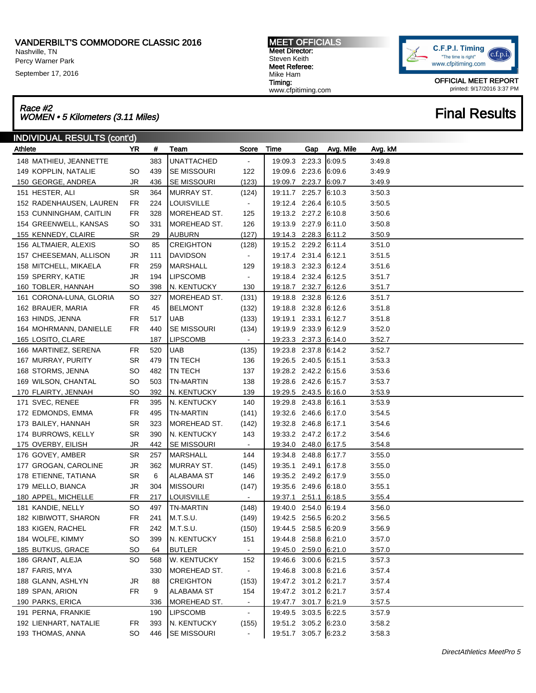Nashville, TN

Percy Warner Park

September 17, 2016

## Race #2<br>WOMEN • 5 Kilometers (3.11 Miles) Final Results

| INDIVIDUAL RESULTS (cont'd) |           |     |                    |                |                       |     |           |         |  |  |
|-----------------------------|-----------|-----|--------------------|----------------|-----------------------|-----|-----------|---------|--|--|
| Athlete                     | YR.       | #   | Team               | Score          | Time                  | Gap | Avg. Mile | Avg. kM |  |  |
| 148 MATHIEU, JEANNETTE      |           | 383 | <b>UNATTACHED</b>  | $\blacksquare$ | 19:09.3 2:23.3        |     | 6:09.5    | 3:49.8  |  |  |
| 149 KOPPLIN, NATALIE        | SO        | 439 | SE MISSOURI        | 122            | 19:09.6 2:23.6        |     | 6:09.6    | 3:49.9  |  |  |
| 150 GEORGE, ANDREA          | JR        | 436 | <b>SE MISSOURI</b> | (123)          | 19:09.7 2:23.7        |     | 6.09.7    | 3:49.9  |  |  |
| 151 HESTER, ALI             | <b>SR</b> | 364 | <b>MURRAY ST.</b>  | (124)          | 19:11.7 2:25.7        |     | 6:10.3    | 3:50.3  |  |  |
| 152 RADENHAUSEN, LAUREN     | FR        | 224 | <b>LOUISVILLE</b>  | $\blacksquare$ | 19:12.4 2:26.4        |     | 6:10.5    | 3:50.5  |  |  |
| 153 CUNNINGHAM, CAITLIN     | <b>FR</b> | 328 | MOREHEAD ST.       | 125            | 19:13.2 2:27.2        |     | 6:10.8    | 3:50.6  |  |  |
| 154 GREENWELL, KANSAS       | <b>SO</b> | 331 | MOREHEAD ST.       | 126            | 19:13.9 2:27.9        |     | 6:11.0    | 3:50.8  |  |  |
| 155 KENNEDY, CLAIRE         | <b>SR</b> | 29  | <b>AUBURN</b>      | (127)          | 19:14.3 2:28.3        |     | 6:11.2    | 3:50.9  |  |  |
| 156 ALTMAIER, ALEXIS        | <b>SO</b> | 85  | <b>CREIGHTON</b>   | (128)          | 19:15.2 2:29.2        |     | 6:11.4    | 3:51.0  |  |  |
| 157 CHEESEMAN, ALLISON      | <b>JR</b> | 111 | DAVIDSON           | $\blacksquare$ | 19:17.4 2:31.4        |     | 6:12.1    | 3:51.5  |  |  |
| 158 MITCHELL, MIKAELA       | <b>FR</b> | 259 | MARSHALL           | 129            | 19:18.3 2:32.3        |     | 6:12.4    | 3:51.6  |  |  |
| 159 SPERRY, KATIE           | <b>JR</b> | 194 | LIPSCOMB           | $\blacksquare$ | 19:18.4 2:32.4        |     | 6:12.5    | 3:51.7  |  |  |
| 160 TOBLER, HANNAH          | <b>SO</b> | 398 | N. KENTUCKY        | 130            | 19:18.7 2:32.7        |     | 6:12.6    | 3:51.7  |  |  |
| 161 CORONA-LUNA, GLORIA     | <b>SO</b> | 327 | MOREHEAD ST.       | (131)          | 19:18.8 2:32.8        |     | 6:12.6    | 3:51.7  |  |  |
| 162 BRAUER, MARIA           | FR        | 45  | <b>BELMONT</b>     | (132)          | 19:18.8 2:32.8        |     | 6:12.6    | 3:51.8  |  |  |
| 163 HINDS, JENNA            | FR        | 517 | <b>UAB</b>         | (133)          | 19:19.1 2:33.1        |     | 6:12.7    | 3:51.8  |  |  |
| 164 MOHRMANN, DANIELLE      | FR        | 440 | <b>SE MISSOURI</b> | (134)          | 19:19.9 2:33.9        |     | 6:12.9    | 3:52.0  |  |  |
| 165 LOSITO, CLARE           |           | 187 | <b>LIPSCOMB</b>    | $\blacksquare$ | 19:23.3 2:37.3 6:14.0 |     |           | 3:52.7  |  |  |
| 166 MARTINEZ, SERENA        | FR        | 520 | <b>UAB</b>         | (135)          | 19:23.8 2:37.8        |     | 6:14.2    | 3:52.7  |  |  |
| 167 MURRAY, PURITY          | SR        | 479 | <b>TN TECH</b>     | 136            | 19:26.5 2:40.5        |     | 6:15.1    | 3:53.3  |  |  |
| 168 STORMS, JENNA           | <b>SO</b> | 482 | TN TECH            | 137            | 19:28.2 2:42.2        |     | 6:15.6    | 3:53.6  |  |  |
| 169 WILSON, CHANTAL         | <b>SO</b> | 503 | TN-MARTIN          | 138            | 19:28.6 2:42.6        |     | 6:15.7    | 3:53.7  |  |  |
| 170 FLAIRTY, JENNAH         | <b>SO</b> | 392 | N. KENTUCKY        | 139            | 19:29.5 2:43.5        |     | 6:16.0    | 3:53.9  |  |  |
| 171 SVEC, RENEE             | <b>FR</b> | 395 | N. KENTUCKY        | 140            | 19:29.8 2:43.8        |     | 6:16.1    | 3:53.9  |  |  |
| 172 EDMONDS, EMMA           | FR        | 495 | <b>TN-MARTIN</b>   | (141)          | 19:32.6 2:46.6        |     | 6:17.0    | 3:54.5  |  |  |
| 173 BAILEY, HANNAH          | <b>SR</b> | 323 | MOREHEAD ST.       | (142)          | 19:32.8 2:46.8        |     | 6:17.1    | 3:54.6  |  |  |
| 174 BURROWS, KELLY          | <b>SR</b> | 390 | N. KENTUCKY        | 143            | 19:33.2 2:47.2        |     | 6:17.2    | 3:54.6  |  |  |
| 175 OVERBY, EILISH          | <b>JR</b> | 442 | <b>SE MISSOURI</b> | $\blacksquare$ | 19:34.0 2:48.0        |     | 6:17.5    | 3:54.8  |  |  |
| 176 GOVEY, AMBER            | <b>SR</b> | 257 | MARSHALL           | 144            | 19:34.8 2:48.8        |     | 6:17.7    | 3:55.0  |  |  |
| 177 GROGAN, CAROLINE        | JR        | 362 | MURRAY ST.         | (145)          | 19:35.1 2:49.1        |     | 6:17.8    | 3:55.0  |  |  |
| 178 ETIENNE, TATIANA        | <b>SR</b> | 6   | <b>ALABAMA ST</b>  | 146            | 19:35.2 2:49.2        |     | 6:17.9    | 3:55.0  |  |  |
| 179 MELLO, BIANCA           | <b>JR</b> | 304 | <b>MISSOURI</b>    | (147)          | 19:35.6 2:49.6        |     | 6:18.0    | 3:55.1  |  |  |
| 180 APPEL, MICHELLE         | FR        | 217 | <b>LOUISVILLE</b>  | $\blacksquare$ | 19:37.1 2:51.1        |     | 6:18.5    | 3:55.4  |  |  |
| 181 KANDIE, NELLY           | <b>SO</b> | 497 | <b>TN-MARTIN</b>   | (148)          | 19:40.0 2:54.0        |     | 6:19.4    | 3:56.0  |  |  |
| 182 KIBIWOTT, SHARON        | <b>FR</b> | 241 | M.T.S.U.           | (149)          | 19:42.5 2:56.5 6:20.2 |     |           | 3:56.5  |  |  |
| 183 KIGEN, RACHEL           | FR        | 242 | M.T.S.U.           | (150)          | 19:44.5 2:58.5 6:20.9 |     |           | 3:56.9  |  |  |
| 184 WOLFE, KIMMY            | <b>SO</b> | 399 | N. KENTUCKY        | 151            | 19:44.8 2:58.8        |     | 6:21.0    | 3:57.0  |  |  |
| 185 BUTKUS, GRACE           | <b>SO</b> | 64  | <b>BUTLER</b>      |                | 19:45.0 2:59.0        |     | 6:21.0    | 3:57.0  |  |  |
| 186 GRANT, ALEJA            | SO.       | 568 | W. KENTUCKY        | 152            | 19:46.6 3:00.6        |     | 6:21.5    | 3:57.3  |  |  |
| 187 FARIS, MYA              |           | 330 | MOREHEAD ST.       | $\blacksquare$ | 19:46.8 3:00.8        |     | 6:21.6    | 3:57.4  |  |  |
| 188 GLANN, ASHLYN           | JR        | 88  | <b>CREIGHTON</b>   | (153)          | 19:47.2 3:01.2        |     | 6:21.7    | 3:57.4  |  |  |
| 189 SPAN, ARION             | <b>FR</b> | 9   | <b>ALABAMA ST</b>  | 154            | 19:47.2 3:01.2 6:21.7 |     |           | 3:57.4  |  |  |
| 190 PARKS, ERICA            |           | 336 | MOREHEAD ST.       |                | 19:47.7 3:01.7        |     | 6:21.9    | 3:57.5  |  |  |
| 191 PERNA, FRANKIE          |           | 190 | <b>LIPSCOMB</b>    | $\blacksquare$ | 19:49.5 3:03.5        |     | 6:22.5    | 3:57.9  |  |  |
| 192 LIENHART, NATALIE       | FR        | 393 | N. KENTUCKY        | (155)          | 19:51.2 3:05.2 6:23.0 |     |           | 3:58.2  |  |  |
| 193 THOMAS, ANNA            | SO        |     | 446   SE MISSOURI  |                | 19:51.7 3:05.7 6:23.2 |     |           | 3:58.3  |  |  |

C.F.P.I. Timing "The time is right" www.cfpitiming.com

> OFFICIAL MEET REPORT printed: 9/17/2016 3:37 PM



Meet Director: Steven Keith Meet Referee: Mike Ham Timing: www.cfpitiming.com

MEET OFFICIALS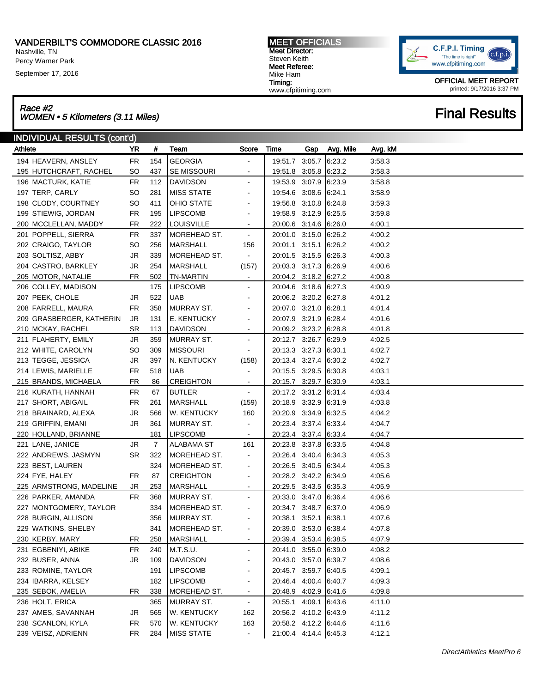Nashville, TN Percy Warner Park

September 17, 2016

### Race #2 Race #2<br>WOMEN • 5 Kilometers (3.11 Miles) Final Results

| <b>INDIVIDUAL RESULTS (cont'd)</b> |           |     |                    |                              |                       |     |           |         |
|------------------------------------|-----------|-----|--------------------|------------------------------|-----------------------|-----|-----------|---------|
| Athlete                            | YR        | #   | Team               | Score                        | Time                  | Gap | Avg. Mile | Avg. kM |
| 194 HEAVERN, ANSLEY                | <b>FR</b> | 154 | <b>GEORGIA</b>     |                              | 19:51.7 3:05.7        |     | 6:23.2    | 3:58.3  |
| 195 HUTCHCRAFT, RACHEL             | SO        | 437 | SE MISSOURI        |                              | 19:51.8 3:05.8 6:23.2 |     |           | 3:58.3  |
| 196 MACTURK, KATIE                 | <b>FR</b> | 112 | DAVIDSON           |                              | 19:53.9 3:07.9        |     | 6:23.9    | 3:58.8  |
| 197 TERP, CARLY                    | <b>SO</b> | 281 | <b>MISS STATE</b>  |                              | 19:54.6 3:08.6        |     | 6.24.1    | 3:58.9  |
| 198 CLODY, COURTNEY                | <b>SO</b> | 411 | OHIO STATE         |                              | 19:56.8 3:10.8        |     | 6:24.8    | 3:59.3  |
| 199 STIEWIG, JORDAN                | <b>FR</b> | 195 | <b>LIPSCOMB</b>    |                              | 19:58.9 3:12.9        |     | 6:25.5    | 3:59.8  |
| 200 MCCLELLAN, MADDY               | <b>FR</b> | 222 | <b>LOUISVILLE</b>  |                              | 20:00.6 3:14.6 6:26.0 |     |           | 4:00.1  |
| 201 POPPELL, SIERRA                | <b>FR</b> | 337 | MOREHEAD ST.       | $\blacksquare$               | 20:01.0 3:15.0        |     | 6:26.2    | 4:00.2  |
| 202 CRAIGO, TAYLOR                 | <b>SO</b> | 256 | <b>MARSHALL</b>    | 156                          | 20:01.1 3:15.1        |     | 6:26.2    | 4:00.2  |
| 203 SOLTISZ, ABBY                  | <b>JR</b> | 339 | MOREHEAD ST.       |                              | 20:01.5 3:15.5        |     | 6:26.3    | 4:00.3  |
| 204 CASTRO, BARKLEY                | JR        | 254 | <b>MARSHALL</b>    | (157)                        | 20:03.3 3:17.3        |     | 6:26.9    | 4:00.6  |
| 205 MOTOR, NATALIE                 | <b>FR</b> | 502 | <b>TN-MARTIN</b>   |                              | 20:04.2 3:18.2 6:27.2 |     |           | 4:00.8  |
| 206 COLLEY, MADISON                |           | 175 | <b>LIPSCOMB</b>    |                              | 20:04.6 3:18.6 6:27.3 |     |           | 4:00.9  |
| 207 PEEK, CHOLE                    | JR        | 522 | <b>UAB</b>         |                              | 20:06.2 3:20.2 6:27.8 |     |           | 4:01.2  |
| 208 FARRELL, MAURA                 | <b>FR</b> | 358 | MURRAY ST.         |                              | 20:07.0 3:21.0        |     | 6:28.1    | 4:01.4  |
| 209 GRASBERGER, KATHERIN           | JR        | 131 | E. KENTUCKY        |                              | 20:07.9 3:21.9        |     | 6:28.4    | 4:01.6  |
| 210 MCKAY, RACHEL                  | <b>SR</b> | 113 | <b>DAVIDSON</b>    | $\blacksquare$               | 20:09.2 3:23.2 6:28.8 |     |           | 4:01.8  |
| 211 FLAHERTY, EMILY                | JR        | 359 | <b>MURRAY ST.</b>  | $\overline{\phantom{a}}$     | 20:12.7 3:26.7        |     | 6:29.9    | 4:02.5  |
| 212 WHITE, CAROLYN                 | <b>SO</b> | 309 | <b>MISSOURI</b>    |                              | 20:13.3 3:27.3        |     | 6:30.1    | 4:02.7  |
| 213 TEGGE, JESSICA                 | <b>JR</b> | 397 | N. KENTUCKY        | (158)                        | 20:13.4 3:27.4        |     | 6:30.2    | 4:02.7  |
| 214 LEWIS, MARIELLE                | <b>FR</b> | 518 | <b>UAB</b>         |                              | 20:15.5 3:29.5        |     | 6:30.8    | 4:03.1  |
| 215 BRANDS, MICHAELA               | FR        | 86  | <b>CREIGHTON</b>   |                              | 20:15.7 3:29.7        |     | 6:30.9    | 4:03.1  |
| 216 KURATH, HANNAH                 | <b>FR</b> | 67  | <b>BUTLER</b>      |                              | 20:17.2 3:31.2        |     | 6:31.4    | 4:03.4  |
| 217 SHORT, ABIGAIL                 | <b>FR</b> | 261 | <b>MARSHALL</b>    | (159)                        | 20:18.9 3:32.9        |     | 6:31.9    | 4:03.8  |
| 218 BRAINARD, ALEXA                | <b>JR</b> | 566 | <b>W. KENTUCKY</b> | 160                          | 20:20.9 3:34.9        |     | 6:32.5    | 4:04.2  |
| 219 GRIFFIN, EMANI                 | JR        | 361 | <b>MURRAY ST.</b>  |                              | 20:23.4 3:37.4        |     | 6:33.4    | 4:04.7  |
| 220 HOLLAND, BRIANNE               |           | 181 | <b>LIPSCOMB</b>    |                              | 20:23.4 3:37.4 6:33.4 |     |           | 4:04.7  |
| 221 LANE, JANICE                   | JR        | 7   | <b>ALABAMA ST</b>  | 161                          | 20:23.8 3:37.8        |     | 6:33.5    | 4:04.8  |
| 222 ANDREWS, JASMYN                | <b>SR</b> | 322 | MOREHEAD ST.       | $\blacksquare$               | 20:26.4 3:40.4        |     | 6:34.3    | 4:05.3  |
| 223 BEST, LAUREN                   |           | 324 | MOREHEAD ST.       | $\overline{\phantom{a}}$     | 20:26.5 3:40.5        |     | 6:34.4    | 4:05.3  |
| 224 FYE, HALEY                     | FR        | 87  | <b>CREIGHTON</b>   | $\qquad \qquad \blacksquare$ | 20:28.2 3:42.2 6:34.9 |     |           | 4:05.6  |
| 225 ARMSTRONG, MADELINE            | JR        | 253 | <b>MARSHALL</b>    | $\blacksquare$               | 20:29.5 3:43.5 6:35.3 |     |           | 4:05.9  |
| 226 PARKER, AMANDA                 | FR        | 368 | <b>MURRAY ST.</b>  |                              | 20:33.0 3:47.0        |     | 6:36.4    | 4:06.6  |
| 227 MONTGOMERY, TAYLOR             |           | 334 | MOREHEAD ST.       |                              | 20:34.7 3:48.7        |     | 6:37.0    | 4:06.9  |
| 228 BURGIN, ALLISON                |           | 356 | MURRAY ST.         |                              | 20:38.1 3:52.1        |     | 6:38.1    | 4:07.6  |
| 229 WATKINS, SHELBY                |           | 341 | MOREHEAD ST.       |                              | 20:39.0 3:53.0 6:38.4 |     |           | 4:07.8  |
| 230 KERBY, MARY                    | FR        | 258 | <b>MARSHALL</b>    |                              | 20:39.4 3:53.4 6:38.5 |     |           | 4:07.9  |
| 231 EGBENIYI, ABIKE                | <b>FR</b> | 240 | M.T.S.U.           | $\overline{\phantom{a}}$     | 20:41.0 3:55.0 6:39.0 |     |           | 4:08.2  |
| 232 BUSER, ANNA                    | <b>JR</b> | 109 | <b>DAVIDSON</b>    | $\qquad \qquad \blacksquare$ | 20:43.0 3:57.0        |     | 6:39.7    | 4:08.6  |
| 233 ROMINE, TAYLOR                 |           | 191 | <b>LIPSCOMB</b>    |                              | 20:45.7 3:59.7        |     | 6:40.5    | 4:09.1  |
| 234 IBARRA, KELSEY                 |           | 182 | <b>LIPSCOMB</b>    |                              | 20:46.4 4:00.4        |     | 6:40.7    | 4:09.3  |
| 235 SEBOK, AMELIA                  | FR        | 338 | MOREHEAD ST.       | $\overline{\phantom{a}}$     | 20:48.9 4:02.9 6:41.6 |     |           | 4:09.8  |
| 236 HOLT, ERICA                    |           | 365 | MURRAY ST.         | $\blacksquare$               | 20:55.1 4:09.1        |     | 6:43.6    | 4:11.0  |
| 237 AMES, SAVANNAH                 | JR        | 565 | W. KENTUCKY        | 162                          | 20:56.2 4:10.2 6:43.9 |     |           | 4:11.2  |
| 238 SCANLON, KYLA                  | <b>FR</b> | 570 | <b>W. KENTUCKY</b> | 163                          | 20:58.2 4:12.2 6:44.6 |     |           | 4:11.6  |
| 239 VEISZ, ADRIENN                 | <b>FR</b> | 284 | <b>MISS STATE</b>  | $\blacksquare$               | 21:00.4 4:14.4 6:45.3 |     |           | 4:12.1  |
|                                    |           |     |                    |                              |                       |     |           |         |

MEET OFFICIALS Meet Director: Steven Keith Meet Referee: Mike Ham Timing: www.cfpitiming.com



OFFICIAL MEET REPORT printed: 9/17/2016 3:37 PM